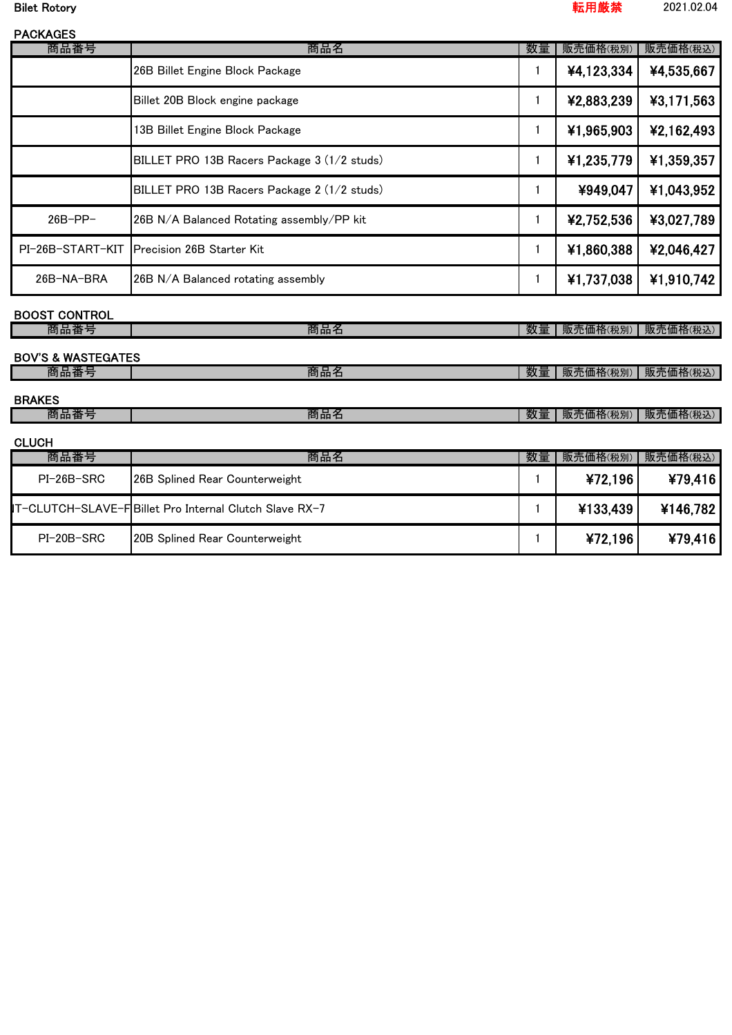Bilet Rotory 転用厳禁 2021.02.04

| <b>PACKAGES</b> |                                              |    |            |            |
|-----------------|----------------------------------------------|----|------------|------------|
| 商品番号            | 商品名                                          | 数量 | 販売価格(税別)   | 販売価格(税込)   |
|                 | 26B Billet Engine Block Package              |    | ¥4,123,334 | ¥4,535,667 |
|                 | Billet 20B Block engine package              |    | ¥2,883,239 | ¥3,171,563 |
|                 | 13B Billet Engine Block Package              |    | ¥1,965,903 | ¥2,162,493 |
|                 | BILLET PRO 13B Racers Package 3 (1/2 studs)  |    | ¥1,235,779 | ¥1,359,357 |
|                 | BILLET PRO 13B Racers Package 2 (1/2 studs)  |    | ¥949,047   | ¥1,043,952 |
| $26B-PP-$       | 26B N/A Balanced Rotating assembly/PP kit    |    | ¥2,752,536 | ¥3,027,789 |
|                 | PI-26B-START-KIT   Precision 26B Starter Kit |    | ¥1,860,388 | ¥2,046,427 |
| 26B-NA-BRA      | 26B N/A Balanced rotating assembly           | 1  | ¥1,737,038 | ¥1,910,742 |

## BOOST CONTROL

| 冏<br>品面<br>F                  | 商品名 | 数<br>里  | 'BG.<br><i>(</i> c価格(税別) | 販売<br>価格(税込) |
|-------------------------------|-----|---------|--------------------------|--------------|
|                               |     |         |                          |              |
| <b>BOV'S &amp; WASTEGATES</b> |     |         |                          |              |
| 商品番*<br>与                     | 商品名 | 数.<br>_ | 86<br>も価格(税別)            | 販売価格(税込)     |

### BRAKES

| 冏品査 | --<br>œ<br>ra nn :<br>. | ---<br>TМ.<br>--- | 本日代<br>$H_{\overline{n}}$<br>21皿作<br>祝別<br>- TP -<br>₩Χ. | . .<br>观冗Ⅲ<br>山竹<br>いれど |
|-----|-------------------------|-------------------|----------------------------------------------------------|-------------------------|
|     |                         |                   |                                                          |                         |

## **CLUCH**

| -----      |                                                         |    |          |          |
|------------|---------------------------------------------------------|----|----------|----------|
| 商品番号       | 商品名                                                     | 数量 | 販売価格(税別) | 販売価格(税込) |
| PI-26B-SRC | <b>26B Splined Rear Counterweight</b>                   |    | ¥72,196  | ¥79,416  |
|            | IT-CLUTCH-SLAVE-F Billet Pro Internal Clutch Slave RX-7 |    | ¥133,439 | ¥146,782 |
| PI-20B-SRC | 20B Splined Rear Counterweight                          |    | ¥72,196  | ¥79,416  |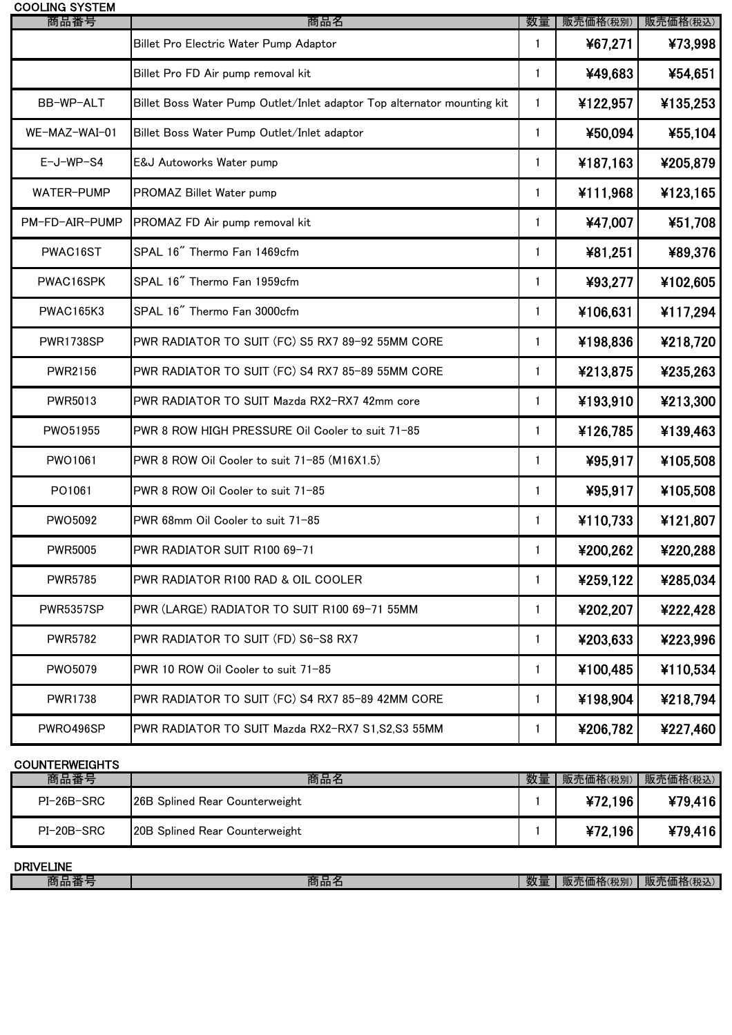| <b>COOLING SYSTEM</b><br>商品番号 | 商品名                                                                     | 数量           | 販売価格(税別) | 販売価格(税込) |
|-------------------------------|-------------------------------------------------------------------------|--------------|----------|----------|
|                               | Billet Pro Electric Water Pump Adaptor                                  | $\mathbf{1}$ | ¥67,271  | ¥73,998  |
|                               | Billet Pro FD Air pump removal kit                                      | $\mathbf{1}$ | ¥49,683  | ¥54,651  |
| BB-WP-ALT                     | Billet Boss Water Pump Outlet/Inlet adaptor Top alternator mounting kit | $\mathbf{1}$ | ¥122,957 | ¥135,253 |
| WE-MAZ-WAI-01                 | Billet Boss Water Pump Outlet/Inlet adaptor                             | $\mathbf{1}$ | ¥50,094  | ¥55,104  |
| $E-J-WP-S4$                   | E&J Autoworks Water pump                                                | $\mathbf{1}$ | ¥187,163 | ¥205,879 |
| WATER-PUMP                    | PROMAZ Billet Water pump                                                | $\mathbf{1}$ | ¥111,968 | ¥123,165 |
| PM-FD-AIR-PUMP                | PROMAZ FD Air pump removal kit                                          | $\mathbf{1}$ | ¥47,007  | ¥51,708  |
| PWAC16ST                      | SPAL 16" Thermo Fan 1469cfm                                             | 1            | ¥81,251  | ¥89,376  |
| PWAC16SPK                     | SPAL 16" Thermo Fan 1959cfm                                             | 1            | ¥93,277  | ¥102,605 |
| <b>PWAC165K3</b>              | SPAL 16" Thermo Fan 3000cfm                                             | 1            | ¥106,631 | ¥117,294 |
| PWR1738SP                     | PWR RADIATOR TO SUIT (FC) S5 RX7 89-92 55MM CORE                        | 1            | ¥198,836 | ¥218,720 |
| <b>PWR2156</b>                | PWR RADIATOR TO SUIT (FC) S4 RX7 85-89 55MM CORE                        | 1            | ¥213,875 | ¥235,263 |
| PWR5013                       | PWR RADIATOR TO SUIT Mazda RX2-RX7 42mm core                            | 1            | ¥193,910 | ¥213,300 |
| PWO51955                      | PWR 8 ROW HIGH PRESSURE Oil Cooler to suit 71-85                        | $\mathbf{1}$ | ¥126,785 | ¥139,463 |
| PWO1061                       | PWR 8 ROW Oil Cooler to suit 71-85 (M16X1.5)                            | $\mathbf{1}$ | ¥95,917  | ¥105,508 |
| PO1061                        | PWR 8 ROW Oil Cooler to suit 71-85                                      | 1            | ¥95,917  | ¥105,508 |
| <b>PWO5092</b>                | PWR 68mm Oil Cooler to suit 71-85                                       | 1            | ¥110,733 | ¥121,807 |
| <b>PWR5005</b>                | PWR RADIATOR SUIT R100 69-71                                            | $\mathbf{1}$ | ¥200,262 | ¥220,288 |
| <b>PWR5785</b>                | PWR RADIATOR R100 RAD & OIL COOLER                                      | 1            | ¥259,122 | ¥285,034 |
| <b>PWR5357SP</b>              | PWR (LARGE) RADIATOR TO SUIT R100 69-71 55MM                            | 1            | ¥202,207 | ¥222,428 |
| <b>PWR5782</b>                | PWR RADIATOR TO SUIT (FD) S6-S8 RX7                                     | $\mathbf{1}$ | ¥203,633 | ¥223,996 |
| PWO5079                       | PWR 10 ROW Oil Cooler to suit 71-85                                     | $\mathbf{1}$ | ¥100,485 | ¥110,534 |
| <b>PWR1738</b>                | PWR RADIATOR TO SUIT (FC) S4 RX7 85-89 42MM CORE                        | $\mathbf{1}$ | ¥198,904 | ¥218,794 |
| PWRO496SP                     | PWR RADIATOR TO SUIT Mazda RX2-RX7 S1, S2, S3 55MM                      | $\mathbf{1}$ | ¥206,782 | ¥227,460 |

### **COUNTERWEIGHTS**

| 商品番号       | 商品名                                   | 数量 | 販売価格(税別) | 販売価格(税込) |
|------------|---------------------------------------|----|----------|----------|
| PI-26B-SRC | 126B Splined Rear Counterweight       |    | ¥72.196  | ¥79,416  |
| PI-20B-SRC | <b>20B Splined Rear Counterweight</b> |    | ¥72.196  | ¥79416   |

| ELINE<br><b>DRIVE</b> |                   |                                     |                 |
|-----------------------|-------------------|-------------------------------------|-----------------|
| --<br>ъq.<br>елны     | m<br>- - - -<br>. | --<br>助<br>בחיי<br><b>\1)Т. Л'.</b> | .1皿忙<br>. алу — |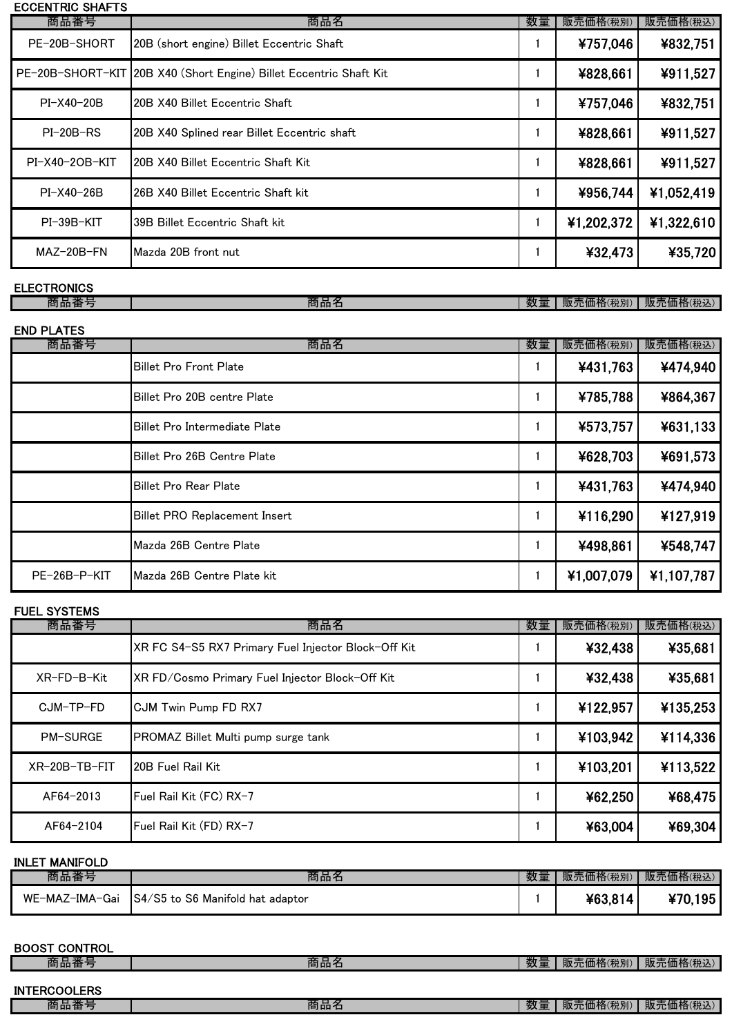# ECCENTRIC SHAFTS 商品番号 商品名 数量 販売価格(税別) 販売価格(税込) MAZ-20B-FN  $\big|$  Mazda 20B front nut  $\big|$  1  $\big|$   $\big|$   $\big|$   $\big|$   $\big|$   $\big|$   $\big|$   $\big|$   $\big|$   $\big|$   $\big|$   $\big|$   $\big|$   $\big|$   $\big|$   $\big|$   $\big|$   $\big|$   $\big|$   $\big|$   $\big|$   $\big|$   $\big|$   $\big|$   $\big|$   $\big|$   $\big|$   $\big|$   $\big|$   $\$ PE-20B-SHORT 20B (short engine) Billet Eccentric Shaft **1 1 4757,046 4832,751** PE-20B-SHORT-KIT 20B X40 (Short Engine) Billet Eccentric Shaft Kit **1 1** 4828,661 | 4911,527 PI-X40-20B 20B X40 Billet Eccentric Shaft 1 4757,046  $\overline{)$  1 4757,046  $\overline{)}$ PI-20B-RS 20B X40 Splined rear Billet Eccentric shaft 1 \828,661 \911,527 PI-X40-2OB-KIT 20B X40 Billet Eccentric Shaft Kit 1 1 | ¥828,661 | ¥911,527 PI-X40-26B 26B X40 Billet Eccentric Shaft kit 1 1 \ \ \ \ \ \ \ \ \ \ \ \ \ \ 052,419 PI-39B-KIT 39B Billet Eccentric Shaft kit 1 \\ 1 \\ \ \ \ \ 1,202,372 \ \ \ \ 1,322,610

ELECTRONICS

商品番号 商品名 数量 販売価格(税別) 販売価格(税込)

| <b>END PLATES</b> |  |
|-------------------|--|
|-------------------|--|

| 商品番号         | 商品名                                  | 数量 | 販売価格(税別)   | 販売価格(税込)   |
|--------------|--------------------------------------|----|------------|------------|
|              | <b>Billet Pro Front Plate</b>        |    | ¥431,763   | ¥474,940   |
|              | <b>I</b> Billet Pro 20B centre Plate |    | ¥785,788   | ¥864,367   |
|              | Billet Pro Intermediate Plate        |    | ¥573,757   | ¥631,133   |
|              | <b>I</b> Billet Pro 26B Centre Plate |    | ¥628,703   | ¥691,573   |
|              | <b>Billet Pro Rear Plate</b>         |    | ¥431,763   | ¥474,940   |
|              | Billet PRO Replacement Insert        |    | ¥116,290   | ¥127,919   |
|              | Mazda 26B Centre Plate               |    | ¥498,861   | ¥548,747   |
| PE-26B-P-KIT | Mazda 26B Centre Plate kit           |    | ¥1,007,079 | ¥1,107,787 |

| 商品番号            | 商品名                                                 | 数量 | 販売価格(税別) | 販売価格(税込) |
|-----------------|-----------------------------------------------------|----|----------|----------|
|                 | XR FC S4-S5 RX7 Primary Fuel Injector Block-Off Kit |    | ¥32,438  | ¥35,681  |
| XR-FD-B-Kit     | XR FD/Cosmo Primary Fuel Injector Block-Off Kit     |    | ¥32,438  | ¥35,681  |
| CJM-TP-FD       | <b>CJM Twin Pump FD RX7</b>                         |    | ¥122,957 | ¥135,253 |
| <b>PM-SURGE</b> | <b>PROMAZ Billet Multi pump surge tank</b>          |    | ¥103,942 | ¥114,336 |
| XR-20B-TB-FIT   | <b>20B Fuel Rail Kit</b>                            |    | ¥103,201 | ¥113,522 |
| AF64-2013       | Fuel Rail Kit (FC) RX-7                             |    | ¥62,250  | ¥68,475  |
| AF64-2104       | Fuel Rail Kit (FD) RX-7                             |    | ¥63,004  | ¥69,304  |

INLET MANIFOLD 商品番号 商品名 数量 販売価格(税別) 販売価格(税込) WE-MAZ-IMA-Gai  $\left| \frac{S4}{S5} \right|$  to S6 Manifold hat adaptor  $\left| \frac{1}{S4} \right|$  1  $\left| \frac{1}{S3,814} \right|$ \70,195

### BOOST CONTROL 商品番号 商品名 数量 販売価格(税別) 販売価格(税込) INTERCOOLERS 商品番号 商品名 数量 販売価格(税別) 販売価格(税込)